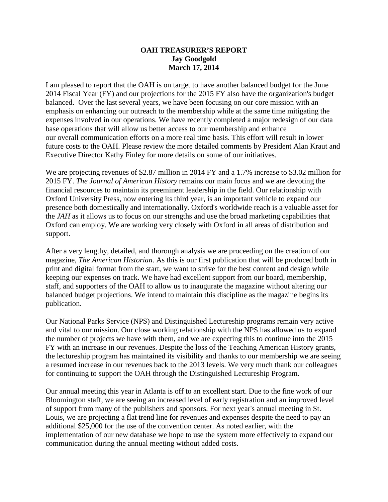## **OAH TREASURER'S REPORT Jay Goodgold March 17, 2014**

I am pleased to report that the OAH is on target to have another balanced budget for the June 2014 Fiscal Year (FY) and our projections for the 2015 FY also have the organization's budget balanced. Over the last several years, we have been focusing on our core mission with an emphasis on enhancing our outreach to the membership while at the same time mitigating the expenses involved in our operations. We have recently completed a major redesign of our data base operations that will allow us better access to our membership and enhance our overall communication efforts on a more real time basis. This effort will result in lower future costs to the OAH. Please review the more detailed comments by President Alan Kraut and Executive Director Kathy Finley for more details on some of our initiatives.

We are projecting revenues of \$2.87 million in 2014 FY and a 1.7% increase to \$3.02 million for 2015 FY. *The Journal of American History* remains our main focus and we are devoting the financial resources to maintain its preeminent leadership in the field. Our relationship with Oxford University Press, now entering its third year, is an important vehicle to expand our presence both domestically and internationally. Oxford's worldwide reach is a valuable asset for the *JAH* as it allows us to focus on our strengths and use the broad marketing capabilities that Oxford can employ. We are working very closely with Oxford in all areas of distribution and support.

After a very lengthy, detailed, and thorough analysis we are proceeding on the creation of our magazine, *The American Historian*. As this is our first publication that will be produced both in print and digital format from the start, we want to strive for the best content and design while keeping our expenses on track. We have had excellent support from our board, membership, staff, and supporters of the OAH to allow us to inaugurate the magazine without altering our balanced budget projections. We intend to maintain this discipline as the magazine begins its publication.

Our National Parks Service (NPS) and Distinguished Lectureship programs remain very active and vital to our mission. Our close working relationship with the NPS has allowed us to expand the number of projects we have with them, and we are expecting this to continue into the 2015 FY with an increase in our revenues. Despite the loss of the Teaching American History grants, the lectureship program has maintained its visibility and thanks to our membership we are seeing a resumed increase in our revenues back to the 2013 levels. We very much thank our colleagues for continuing to support the OAH through the Distinguished Lectureship Program.

Our annual meeting this year in Atlanta is off to an excellent start. Due to the fine work of our Bloomington staff, we are seeing an increased level of early registration and an improved level of support from many of the publishers and sponsors. For next year's annual meeting in St. Louis, we are projecting a flat trend line for revenues and expenses despite the need to pay an additional \$25,000 for the use of the convention center. As noted earlier, with the implementation of our new database we hope to use the system more effectively to expand our communication during the annual meeting without added costs.